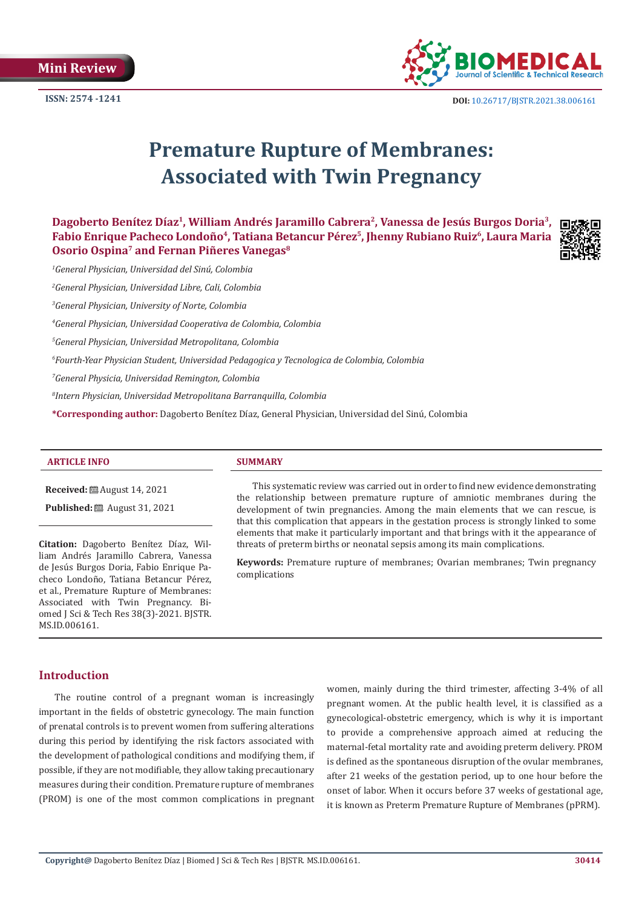

# **Premature Rupture of Membranes: Associated with Twin Pregnancy**

**Dagoberto Benítez Díaz1, William Andrés Jaramillo Cabrera2, Vanessa de Jesús Burgos Doria3, Fabio Enrique Pacheco Londoño4, Tatiana Betancur Pérez5, Jhenny Rubiano Ruiz6, Laura Maria Osorio Ospina7 and Fernan Piñeres Vanegas8**



*1 General Physician, Universidad del Sinú, Colombia* 

*2 General Physician, Universidad Libre, Cali, Colombia*

*3 General Physician, University of Norte, Colombia*

*4 General Physician, Universidad Cooperativa de Colombia, Colombia*

*5 General Physician, Universidad Metropolitana, Colombia*

*6 Fourth-Year Physician Student, Universidad Pedagogica y Tecnologica de Colombia, Colombia*

*7 General Physicia, Universidad Remington, Colombia*

*8 Intern Physician, Universidad Metropolitana Barranquilla, Colombia*

**\*Corresponding author:** Dagoberto Benítez Díaz, General Physician, Universidad del Sinú, Colombia

#### **ARTICLE INFO SUMMARY**

**Received:** August 14, 2021

**Published:** ■ August 31, 2021

**Citation:** Dagoberto Benítez Díaz, William Andrés Jaramillo Cabrera, Vanessa de Jesús Burgos Doria, Fabio Enrique Pacheco Londoño, Tatiana Betancur Pérez, et al., Premature Rupture of Membranes: Associated with Twin Pregnancy. Biomed J Sci & Tech Res 38(3)-2021. BJSTR. MS.ID.006161.

This systematic review was carried out in order to find new evidence demonstrating the relationship between premature rupture of amniotic membranes during the development of twin pregnancies. Among the main elements that we can rescue, is that this complication that appears in the gestation process is strongly linked to some elements that make it particularly important and that brings with it the appearance of threats of preterm births or neonatal sepsis among its main complications.

**Keywords:** Premature rupture of membranes; Ovarian membranes; Twin pregnancy complications

### **Introduction**

The routine control of a pregnant woman is increasingly important in the fields of obstetric gynecology. The main function of prenatal controls is to prevent women from suffering alterations during this period by identifying the risk factors associated with the development of pathological conditions and modifying them, if possible, if they are not modifiable, they allow taking precautionary measures during their condition. Premature rupture of membranes (PROM) is one of the most common complications in pregnant women, mainly during the third trimester, affecting 3-4% of all pregnant women. At the public health level, it is classified as a gynecological-obstetric emergency, which is why it is important to provide a comprehensive approach aimed at reducing the maternal-fetal mortality rate and avoiding preterm delivery. PROM is defined as the spontaneous disruption of the ovular membranes, after 21 weeks of the gestation period, up to one hour before the onset of labor. When it occurs before 37 weeks of gestational age, it is known as Preterm Premature Rupture of Membranes (pPRM).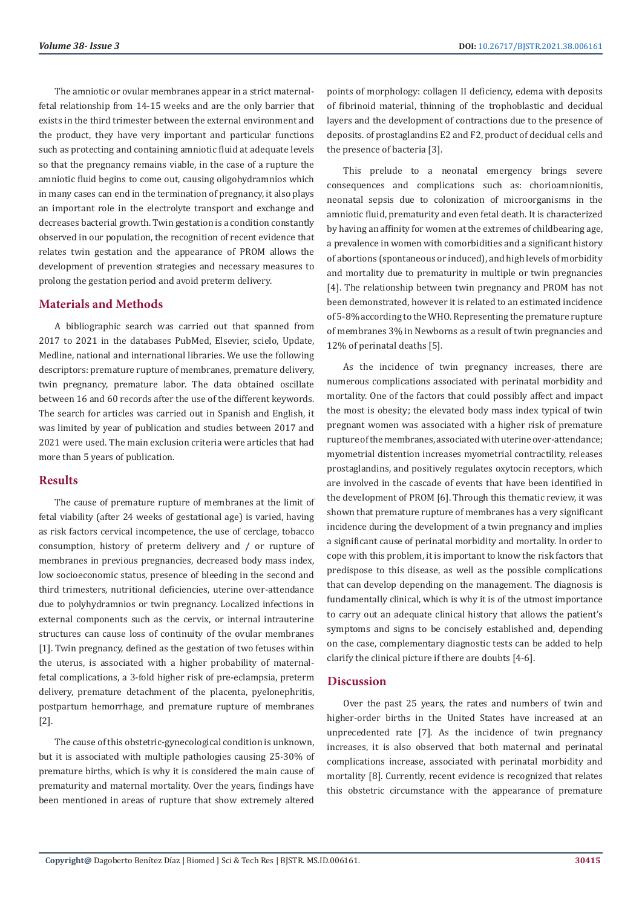The amniotic or ovular membranes appear in a strict maternalfetal relationship from 14-15 weeks and are the only barrier that exists in the third trimester between the external environment and the product, they have very important and particular functions such as protecting and containing amniotic fluid at adequate levels so that the pregnancy remains viable, in the case of a rupture the amniotic fluid begins to come out, causing oligohydramnios which in many cases can end in the termination of pregnancy, it also plays an important role in the electrolyte transport and exchange and decreases bacterial growth. Twin gestation is a condition constantly observed in our population, the recognition of recent evidence that relates twin gestation and the appearance of PROM allows the development of prevention strategies and necessary measures to prolong the gestation period and avoid preterm delivery.

# **Materials and Methods**

A bibliographic search was carried out that spanned from 2017 to 2021 in the databases PubMed, Elsevier, scielo, Update, Medline, national and international libraries. We use the following descriptors: premature rupture of membranes, premature delivery, twin pregnancy, premature labor. The data obtained oscillate between 16 and 60 records after the use of the different keywords. The search for articles was carried out in Spanish and English, it was limited by year of publication and studies between 2017 and 2021 were used. The main exclusion criteria were articles that had more than 5 years of publication.

#### **Results**

The cause of premature rupture of membranes at the limit of fetal viability (after 24 weeks of gestational age) is varied, having as risk factors cervical incompetence, the use of cerclage, tobacco consumption, history of preterm delivery and / or rupture of membranes in previous pregnancies, decreased body mass index, low socioeconomic status, presence of bleeding in the second and third trimesters, nutritional deficiencies, uterine over-attendance due to polyhydramnios or twin pregnancy. Localized infections in external components such as the cervix, or internal intrauterine structures can cause loss of continuity of the ovular membranes [1]. Twin pregnancy, defined as the gestation of two fetuses within the uterus, is associated with a higher probability of maternalfetal complications, a 3-fold higher risk of pre-eclampsia, preterm delivery, premature detachment of the placenta, pyelonephritis, postpartum hemorrhage, and premature rupture of membranes [2].

The cause of this obstetric-gynecological condition is unknown, but it is associated with multiple pathologies causing 25-30% of premature births, which is why it is considered the main cause of prematurity and maternal mortality. Over the years, findings have been mentioned in areas of rupture that show extremely altered

points of morphology: collagen II deficiency, edema with deposits of fibrinoid material, thinning of the trophoblastic and decidual layers and the development of contractions due to the presence of deposits. of prostaglandins E2 and F2, product of decidual cells and the presence of bacteria [3].

This prelude to a neonatal emergency brings severe consequences and complications such as: chorioamnionitis, neonatal sepsis due to colonization of microorganisms in the amniotic fluid, prematurity and even fetal death. It is characterized by having an affinity for women at the extremes of childbearing age, a prevalence in women with comorbidities and a significant history of abortions (spontaneous or induced), and high levels of morbidity and mortality due to prematurity in multiple or twin pregnancies [4]. The relationship between twin pregnancy and PROM has not been demonstrated, however it is related to an estimated incidence of 5-8% according to the WHO. Representing the premature rupture of membranes 3% in Newborns as a result of twin pregnancies and 12% of perinatal deaths [5].

As the incidence of twin pregnancy increases, there are numerous complications associated with perinatal morbidity and mortality. One of the factors that could possibly affect and impact the most is obesity; the elevated body mass index typical of twin pregnant women was associated with a higher risk of premature rupture of the membranes, associated with uterine over-attendance; myometrial distention increases myometrial contractility, releases prostaglandins, and positively regulates oxytocin receptors, which are involved in the cascade of events that have been identified in the development of PROM [6]. Through this thematic review, it was shown that premature rupture of membranes has a very significant incidence during the development of a twin pregnancy and implies a significant cause of perinatal morbidity and mortality. In order to cope with this problem, it is important to know the risk factors that predispose to this disease, as well as the possible complications that can develop depending on the management. The diagnosis is fundamentally clinical, which is why it is of the utmost importance to carry out an adequate clinical history that allows the patient's symptoms and signs to be concisely established and, depending on the case, complementary diagnostic tests can be added to help clarify the clinical picture if there are doubts [4-6].

#### **Discussion**

Over the past 25 years, the rates and numbers of twin and higher-order births in the United States have increased at an unprecedented rate [7]. As the incidence of twin pregnancy increases, it is also observed that both maternal and perinatal complications increase, associated with perinatal morbidity and mortality [8]. Currently, recent evidence is recognized that relates this obstetric circumstance with the appearance of premature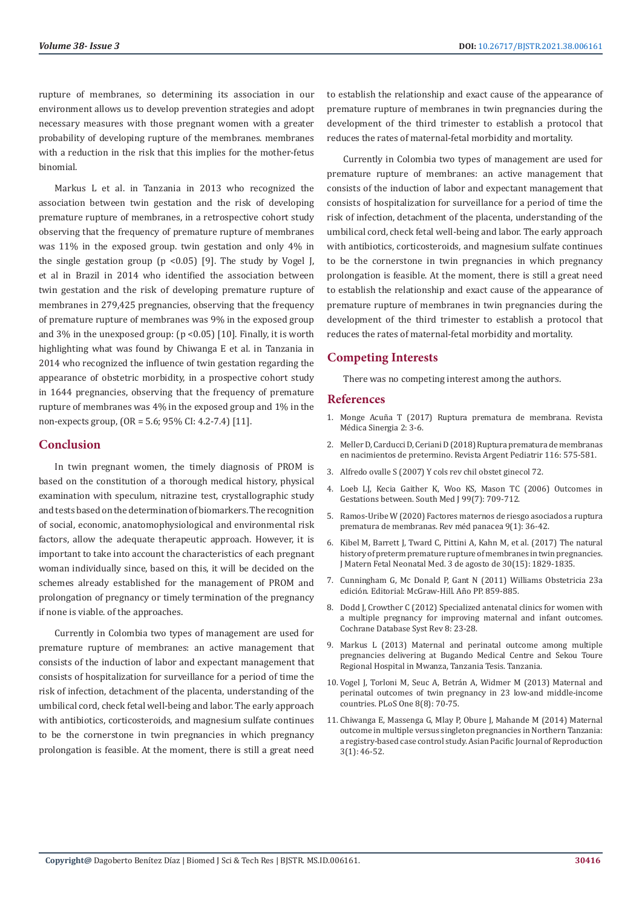rupture of membranes, so determining its association in our environment allows us to develop prevention strategies and adopt necessary measures with those pregnant women with a greater probability of developing rupture of the membranes. membranes with a reduction in the risk that this implies for the mother-fetus binomial.

Markus L et al. in Tanzania in 2013 who recognized the association between twin gestation and the risk of developing premature rupture of membranes, in a retrospective cohort study observing that the frequency of premature rupture of membranes was 11% in the exposed group. twin gestation and only 4% in the single gestation group ( $p < 0.05$ ) [9]. The study by Vogel J, et al in Brazil in 2014 who identified the association between twin gestation and the risk of developing premature rupture of membranes in 279,425 pregnancies, observing that the frequency of premature rupture of membranes was 9% in the exposed group and 3% in the unexposed group:  $(p < 0.05)$  [10]. Finally, it is worth highlighting what was found by Chiwanga E et al. in Tanzania in 2014 who recognized the influence of twin gestation regarding the appearance of obstetric morbidity, in a prospective cohort study in 1644 pregnancies, observing that the frequency of premature rupture of membranes was 4% in the exposed group and 1% in the non-expects group, (OR = 5.6; 95% CI: 4.2-7.4) [11].

# **Conclusion**

In twin pregnant women, the timely diagnosis of PROM is based on the constitution of a thorough medical history, physical examination with speculum, nitrazine test, crystallographic study and tests based on the determination of biomarkers. The recognition of social, economic, anatomophysiological and environmental risk factors, allow the adequate therapeutic approach. However, it is important to take into account the characteristics of each pregnant woman individually since, based on this, it will be decided on the schemes already established for the management of PROM and prolongation of pregnancy or timely termination of the pregnancy if none is viable. of the approaches.

Currently in Colombia two types of management are used for premature rupture of membranes: an active management that consists of the induction of labor and expectant management that consists of hospitalization for surveillance for a period of time the risk of infection, detachment of the placenta, understanding of the umbilical cord, check fetal well-being and labor. The early approach with antibiotics, corticosteroids, and magnesium sulfate continues to be the cornerstone in twin pregnancies in which pregnancy prolongation is feasible. At the moment, there is still a great need

to establish the relationship and exact cause of the appearance of premature rupture of membranes in twin pregnancies during the development of the third trimester to establish a protocol that reduces the rates of maternal-fetal morbidity and mortality.

Currently in Colombia two types of management are used for premature rupture of membranes: an active management that consists of the induction of labor and expectant management that consists of hospitalization for surveillance for a period of time the risk of infection, detachment of the placenta, understanding of the umbilical cord, check fetal well-being and labor. The early approach with antibiotics, corticosteroids, and magnesium sulfate continues to be the cornerstone in twin pregnancies in which pregnancy prolongation is feasible. At the moment, there is still a great need to establish the relationship and exact cause of the appearance of premature rupture of membranes in twin pregnancies during the development of the third trimester to establish a protocol that reduces the rates of maternal-fetal morbidity and mortality.

# **Competing Interests**

There was no competing interest among the authors.

#### **References**

- 1. Monge Acuña T (2017) Ruptura prematura de membrana. Revista Médica Sinergia 2: 3-6.
- 2. Meller D, Carducci D, Ceriani D (2018) Ruptura prematura de membranas en nacimientos de pretermino. Revista Argent Pediatrir 116: 575-581.
- 3. Alfredo ovalle S (2007) Y cols rev chil obstet ginecol 72.
- 4. [Loeb LJ, Kecia Gaither K, Woo KS, Mason TC \(2006\) Outcomes in](https://pubmed.ncbi.nlm.nih.gov/16866051/) [Gestations between. South Med J 99\(7\): 709-712.](https://pubmed.ncbi.nlm.nih.gov/16866051/)
- 5. Ramos-Uribe W (2020) Factores maternos de riesgo asociados a ruptura prematura de membranas. Rev méd panacea 9(1): 36-42.
- 6. [Kibel M, Barrett J, Tward C, Pittini A, Kahn M, et al. \(2017\) The natural](https://pubmed.ncbi.nlm.nih.gov/27550343/) [history of preterm premature rupture of membranes in twin pregnancies.](https://pubmed.ncbi.nlm.nih.gov/27550343/) [J Matern Fetal Neonatal Med. 3 de agosto de 30\(15\): 1829-1835.](https://pubmed.ncbi.nlm.nih.gov/27550343/)
- 7. Cunningham G, Mc Donald P, Gant N (2011) Williams Obstetricia 23a edición. Editorial: McGraw-Hill. Año PP. 859-885.
- 8. Dodd J, Crowther C (2012) Specialized antenatal clinics for women with a multiple pregnancy for improving maternal and infant outcomes. Cochrane Database Syst Rev 8: 23-28.
- 9. Markus L (2013) Maternal and perinatal outcome among multiple pregnancies delivering at Bugando Medical Centre and Sekou Toure Regional Hospital in Mwanza, Tanzania Tesis. Tanzania.
- 10. [Vogel J, Torloni M, Seuc A, Betrán A, Widmer M \(2013\) Maternal and](https://pubmed.ncbi.nlm.nih.gov/23936446/) [perinatal outcomes of twin pregnancy in 23 low-and middle-income](https://pubmed.ncbi.nlm.nih.gov/23936446/) [countries. PLoS One 8\(8\): 70-75.](https://pubmed.ncbi.nlm.nih.gov/23936446/)
- 11. Chiwanga E, Massenga G, Mlay P, Obure J, Mahande M (2014) Maternal outcome in multiple versus singleton pregnancies in Northern Tanzania: a registry-based case control study. Asian Pacific Journal of Reproduction 3(1): 46-52.